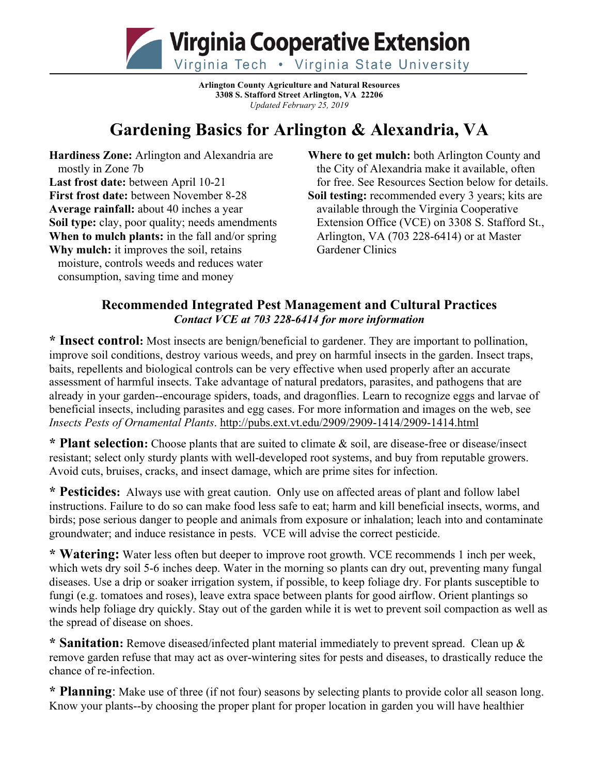

**Arlington County Agriculture and Natural Resources 3308 S. Stafford Street Arlington, VA 22206** *Updated February 25, 2019*

# **Gardening Basics for Arlington & Alexandria, VA**

**Hardiness Zone:** Arlington and Alexandria are mostly in Zone 7b **Last frost date:** between April 10-21 **First frost date:** between November 8-28 **Average rainfall:** about 40 inches a year **Soil type:** clay, poor quality; needs amendments **When to mulch plants:** in the fall and/or spring **Why mulch:** it improves the soil, retains moisture, controls weeds and reduces water consumption, saving time and money

**Where to get mulch:** both Arlington County and the City of Alexandria make it available, often for free. See Resources Section below for details. **Soil testing:** recommended every 3 years; kits are available through the Virginia Cooperative Extension Office (VCE) on 3308 S. Stafford St., Arlington, VA (703 228-6414) or at Master Gardener Clinics

## **Recommended Integrated Pest Management and Cultural Practices** *Contact VCE at 703 228-6414 for more information*

**\* Insect control:** Most insects are benign/beneficial to gardener. They are important to pollination, improve soil conditions, destroy various weeds, and prey on harmful insects in the garden. Insect traps, baits, repellents and biological controls can be very effective when used properly after an accurate assessment of harmful insects. Take advantage of natural predators, parasites, and pathogens that are already in your garden--encourage spiders, toads, and dragonflies. Learn to recognize eggs and larvae of beneficial insects, including parasites and egg cases. For more information and images on the web, see *Insects Pests of Ornamental Plants*. http://pubs.ext.vt.edu/2909/2909-1414/2909-1414.html

**\* Plant selection:** Choose plants that are suited to climate & soil, are disease-free or disease/insect resistant; select only sturdy plants with well-developed root systems, and buy from reputable growers. Avoid cuts, bruises, cracks, and insect damage, which are prime sites for infection.

**\* Pesticides:** Always use with great caution. Only use on affected areas of plant and follow label instructions. Failure to do so can make food less safe to eat; harm and kill beneficial insects, worms, and birds; pose serious danger to people and animals from exposure or inhalation; leach into and contaminate groundwater; and induce resistance in pests. VCE will advise the correct pesticide.

**\* Watering:** Water less often but deeper to improve root growth. VCE recommends 1 inch per week, which wets dry soil 5-6 inches deep. Water in the morning so plants can dry out, preventing many fungal diseases. Use a drip or soaker irrigation system, if possible, to keep foliage dry. For plants susceptible to fungi (e.g. tomatoes and roses), leave extra space between plants for good airflow. Orient plantings so winds help foliage dry quickly. Stay out of the garden while it is wet to prevent soil compaction as well as the spread of disease on shoes.

**\* Sanitation:** Remove diseased/infected plant material immediately to prevent spread. Clean up & remove garden refuse that may act as over-wintering sites for pests and diseases, to drastically reduce the chance of re-infection.

**\* Planning**: Make use of three (if not four) seasons by selecting plants to provide color all season long. Know your plants--by choosing the proper plant for proper location in garden you will have healthier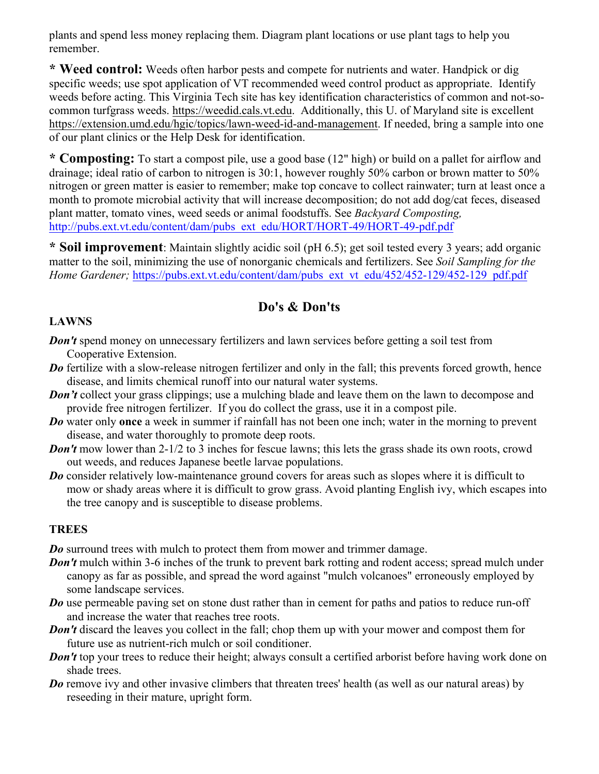plants and spend less money replacing them. Diagram plant locations or use plant tags to help you remember.

**\* Weed control:** Weeds often harbor pests and compete for nutrients and water. Handpick or dig specific weeds; use spot application of VT recommended weed control product as appropriate. Identify weeds before acting. This Virginia Tech site has key identification characteristics of common and not-socommon turfgrass weeds. https://weedid.cals.vt.edu. Additionally, this U. of Maryland site is excellent https://extension.umd.edu/hgic/topics/lawn-weed-id-and-management. If needed, bring a sample into one of our plant clinics or the Help Desk for identification.

**\* Composting:** To start a compost pile, use a good base (12" high) or build on a pallet for airflow and drainage; ideal ratio of carbon to nitrogen is 30:1, however roughly 50% carbon or brown matter to 50% nitrogen or green matter is easier to remember; make top concave to collect rainwater; turn at least once a month to promote microbial activity that will increase decomposition; do not add dog/cat feces, diseased plant matter, tomato vines, weed seeds or animal foodstuffs. See *Backyard Composting,*  http://pubs.ext.vt.edu/content/dam/pubs\_ext\_edu/HORT/HORT-49/HORT-49-pdf.pdf

**\* Soil improvement**: Maintain slightly acidic soil (pH 6.5); get soil tested every 3 years; add organic matter to the soil, minimizing the use of nonorganic chemicals and fertilizers. See *Soil Sampling for the Home Gardener; https://pubs.ext.vt.edu/content/dam/pubs\_ext\_vt\_edu/452/452-129/452-129\_pdf.pdf* 

## **Do's & Don'ts**

#### **LAWNS**

- *Don't* spend money on unnecessary fertilizers and lawn services before getting a soil test from Cooperative Extension.
- *Do* fertilize with a slow-release nitrogen fertilizer and only in the fall; this prevents forced growth, hence disease, and limits chemical runoff into our natural water systems.
- *Don't* collect your grass clippings; use a mulching blade and leave them on the lawn to decompose and provide free nitrogen fertilizer. If you do collect the grass, use it in a compost pile.
- *Do* water only **once** a week in summer if rainfall has not been one inch; water in the morning to prevent disease, and water thoroughly to promote deep roots.
- *Don't* mow lower than 2-1/2 to 3 inches for fescue lawns; this lets the grass shade its own roots, crowd out weeds, and reduces Japanese beetle larvae populations.
- *Do* consider relatively low-maintenance ground covers for areas such as slopes where it is difficult to mow or shady areas where it is difficult to grow grass. Avoid planting English ivy, which escapes into the tree canopy and is susceptible to disease problems.

## **TREES**

*Do* surround trees with mulch to protect them from mower and trimmer damage.

- *Don't* mulch within 3-6 inches of the trunk to prevent bark rotting and rodent access; spread mulch under canopy as far as possible, and spread the word against "mulch volcanoes" erroneously employed by some landscape services.
- *Do* use permeable paving set on stone dust rather than in cement for paths and patios to reduce run-off and increase the water that reaches tree roots.
- *Don't* discard the leaves you collect in the fall; chop them up with your mower and compost them for future use as nutrient-rich mulch or soil conditioner.
- *Don't* top your trees to reduce their height; always consult a certified arborist before having work done on shade trees.
- *Do* remove ivy and other invasive climbers that threaten trees' health (as well as our natural areas) by reseeding in their mature, upright form.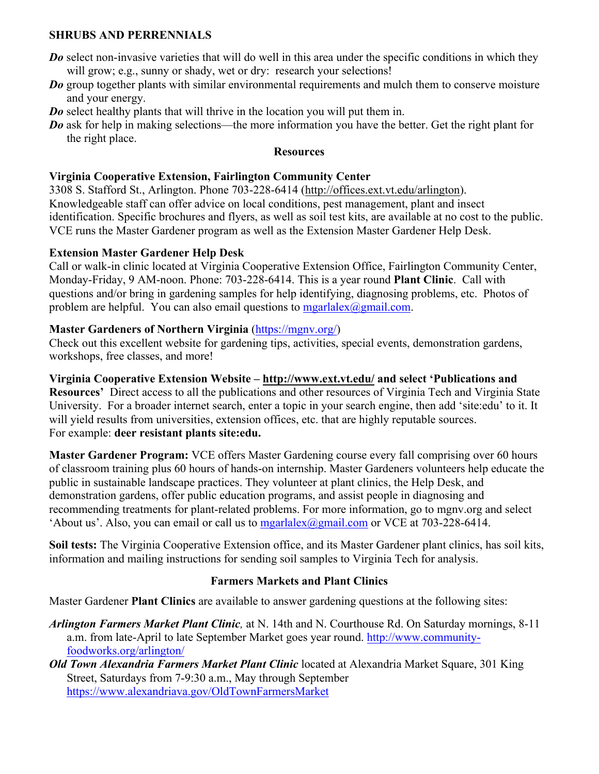#### **SHRUBS AND PERRENNIALS**

- *Do* select non-invasive varieties that will do well in this area under the specific conditions in which they will grow; e.g., sunny or shady, wet or dry: research your selections!
- *Do* group together plants with similar environmental requirements and mulch them to conserve moisture and your energy.
- *Do* select healthy plants that will thrive in the location you will put them in.
- *Do* ask for help in making selections—the more information you have the better. Get the right plant for the right place.

#### **Resources**

#### **Virginia Cooperative Extension, Fairlington Community Center**

3308 S. Stafford St., Arlington. Phone 703-228-6414 (http://offices.ext.vt.edu/arlington). Knowledgeable staff can offer advice on local conditions, pest management, plant and insect identification. Specific brochures and flyers, as well as soil test kits, are available at no cost to the public. VCE runs the Master Gardener program as well as the Extension Master Gardener Help Desk.

#### **Extension Master Gardener Help Desk**

Call or walk-in clinic located at Virginia Cooperative Extension Office, Fairlington Community Center, Monday-Friday, 9 AM-noon. Phone: 703-228-6414. This is a year round **Plant Clinic**. Call with questions and/or bring in gardening samples for help identifying, diagnosing problems, etc. Photos of problem are helpful. You can also email questions to  $mgarlalex@gmail.com$ .

#### **Master Gardeners of Northern Virginia** (https://mgnv.org/)

Check out this excellent website for gardening tips, activities, special events, demonstration gardens, workshops, free classes, and more!

## **Virginia Cooperative Extension Website – http://www.ext.vt.edu/ and select 'Publications and**

**Resources'** Direct access to all the publications and other resources of Virginia Tech and Virginia State University. For a broader internet search, enter a topic in your search engine, then add 'site:edu' to it. It will yield results from universities, extension offices, etc. that are highly reputable sources. For example: **deer resistant plants site:edu.**

**Master Gardener Program:** VCE offers Master Gardening course every fall comprising over 60 hours of classroom training plus 60 hours of hands-on internship. Master Gardeners volunteers help educate the public in sustainable landscape practices. They volunteer at plant clinics, the Help Desk, and demonstration gardens, offer public education programs, and assist people in diagnosing and recommending treatments for plant-related problems. For more information, go to mgnv.org and select 'About us'. Also, you can email or call us to  $mgarlalex@gmail.com$  or VCE at 703-228-6414.

**Soil tests:** The Virginia Cooperative Extension office, and its Master Gardener plant clinics, has soil kits, information and mailing instructions for sending soil samples to Virginia Tech for analysis.

## **Farmers Markets and Plant Clinics**

Master Gardener **Plant Clinics** are available to answer gardening questions at the following sites:

- *Arlington Farmers Market Plant Clinic,* at N. 14th and N. Courthouse Rd. On Saturday mornings, 8-11 a.m. from late-April to late September Market goes year round. http://www.communityfoodworks.org/arlington/
- *Old Town Alexandria Farmers Market Plant Clinic* located at Alexandria Market Square, 301 King Street, Saturdays from 7-9:30 a.m., May through September https://www.alexandriava.gov/OldTownFarmersMarket